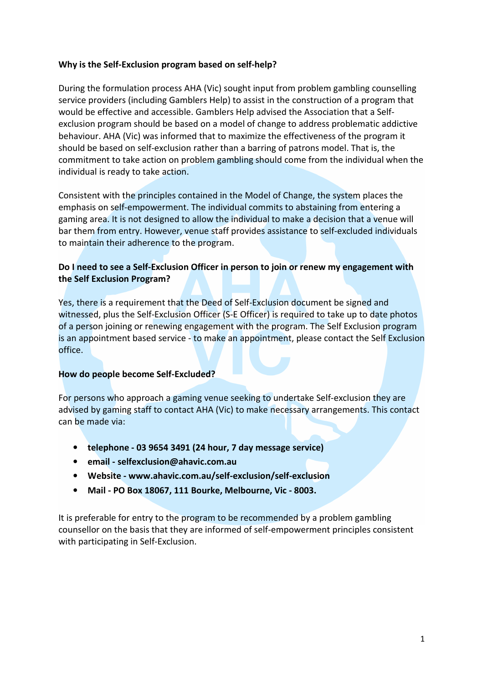### Why is the Self-Exclusion program based on self-help?

During the formulation process AHA (Vic) sought input from problem gambling counselling service providers (including Gamblers Help) to assist in the construction of a program that would be effective and accessible. Gamblers Help advised the Association that a Selfexclusion program should be based on a model of change to address problematic addictive behaviour. AHA (Vic) was informed that to maximize the effectiveness of the program it should be based on self-exclusion rather than a barring of patrons model. That is, the commitment to take action on problem gambling should come from the individual when the individual is ready to take action.

Consistent with the principles contained in the Model of Change, the system places the emphasis on self-empowerment. The individual commits to abstaining from entering a gaming area. It is not designed to allow the individual to make a decision that a venue will bar them from entry. However, venue staff provides assistance to self-excluded individuals to maintain their adherence to the program.

# Do I need to see a Self-Exclusion Officer in person to join or renew my engagement with the Self Exclusion Program?

Yes, there is a requirement that the Deed of Self-Exclusion document be signed and witnessed, plus the Self-Exclusion Officer (S-E Officer) is required to take up to date photos of a person joining or renewing engagement with the program. The Self Exclusion program is an appointment based service - to make an appointment, please contact the Self Exclusion office.

## How do people become Self-Excluded?

For persons who approach a gaming venue seeking to undertake Self-exclusion they are advised by gaming staff to contact AHA (Vic) to make necessary arrangements. This contact can be made via:

- telephone 03 9654 3491 (24 hour, 7 day message service)
- email selfexclusion@ahavic.com.au
- Website www.ahavic.com.au/self-exclusion/self-exclusion
- Mail PO Box 18067, 111 Bourke, Melbourne, Vic 8003.

It is preferable for entry to the program to be recommended by a problem gambling counsellor on the basis that they are informed of self-empowerment principles consistent with participating in Self-Exclusion.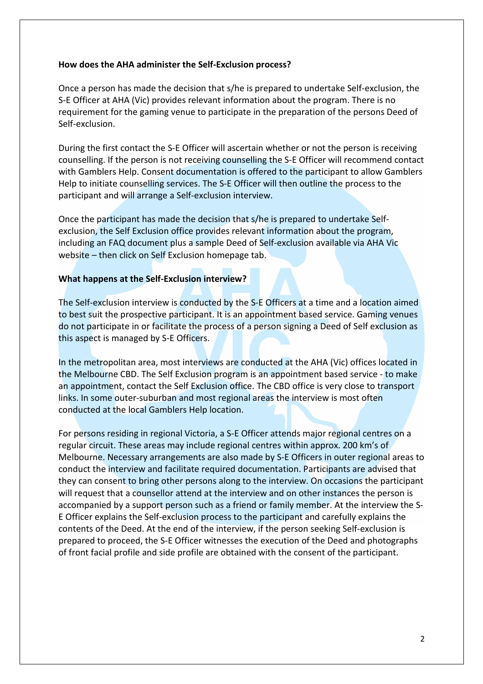#### How does the AHA administer the Self-Exclusion process?

Once a person has made the decision that s/he is prepared to undertake Self-exclusion, the S-E Officer at AHA (Vic) provides relevant information about the program. There is no requirement for the gaming venue to participate in the preparation of the persons Deed of Self-exclusion.

During the first contact the S-E Officer will ascertain whether or not the person is receiving counselling. If the person is not receiving counselling the S-E Officer will recommend contact with Gamblers Help. Consent documentation is offered to the participant to allow Gamblers Help to initiate counselling services. The S-E Officer will then outline the process to the participant and will arrange a Self-exclusion interview.

Once the participant has made the decision that s/he is prepared to undertake Selfexclusion, the Self Exclusion office provides relevant information about the program, including an FAQ document plus a sample Deed of Self-exclusion available via AHA Vic website – then click on Self Exclusion homepage tab.

#### What happens at the Self-Exclusion interview?

The Self-exclusion interview is conducted by the S-E Officers at a time and a location aimed to best suit the prospective participant. It is an appointment based service. Gaming venues do not participate in or facilitate the process of a person signing a Deed of Self exclusion as this aspect is managed by S-E Officers.

In the metropolitan area, most interviews are conducted at the AHA (Vic) offices located in the Melbourne CBD. The Self Exclusion program is an appointment based service - to make an appointment, contact the Self Exclusion office. The CBD office is very close to transport links. In some outer-suburban and most regional areas the interview is most often conducted at the local Gamblers Help location.

For persons residing in regional Victoria, a S-E Officer attends major regional centres on a regular circuit. These areas may include regional centres within approx. 200 km's of Melbourne. Necessary arrangements are also made by S-E Officers in outer regional areas to conduct the interview and facilitate required documentation. Participants are advised that they can consent to bring other persons along to the interview. On occasions the participant will request that a counsellor attend at the interview and on other instances the person is accompanied by a support person such as a friend or family member. At the interview the S-E Officer explains the Self-exclusion process to the participant and carefully explains the contents of the Deed. At the end of the interview, if the person seeking Self-exclusion is prepared to proceed, the S-E Officer witnesses the execution of the Deed and photographs of front facial profile and side profile are obtained with the consent of the participant.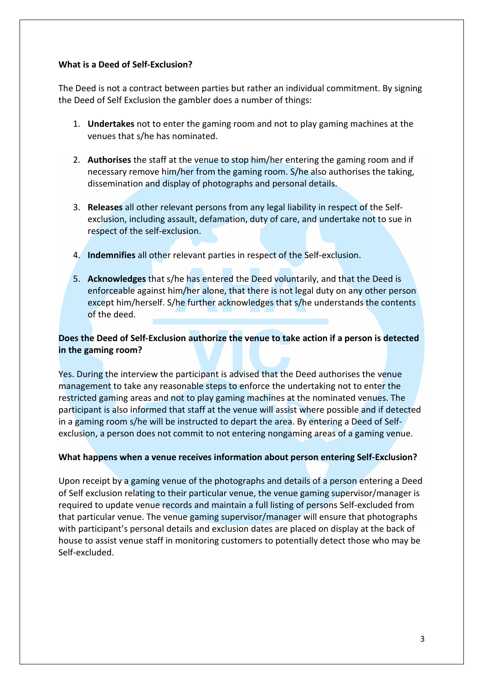### What is a Deed of Self-Exclusion?

The Deed is not a contract between parties but rather an individual commitment. By signing the Deed of Self Exclusion the gambler does a number of things:

- 1. **Undertakes** not to enter the gaming room and not to play gaming machines at the venues that s/he has nominated.
- 2. Authorises the staff at the venue to stop him/her entering the gaming room and if necessary remove him/her from the gaming room. S/he also authorises the taking, dissemination and display of photographs and personal details.
- 3. Releases all other relevant persons from any legal liability in respect of the Selfexclusion, including assault, defamation, duty of care, and undertake not to sue in respect of the self-exclusion.
- 4. Indemnifies all other relevant parties in respect of the Self-exclusion.
- 5. Acknowledges that s/he has entered the Deed voluntarily, and that the Deed is enforceable against him/her alone, that there is not legal duty on any other person except him/herself. S/he further acknowledges that s/he understands the contents of the deed.

# Does the Deed of Self-Exclusion authorize the venue to take action if a person is detected in the gaming room?

Yes. During the interview the participant is advised that the Deed authorises the venue management to take any reasonable steps to enforce the undertaking not to enter the restricted gaming areas and not to play gaming machines at the nominated venues. The participant is also informed that staff at the venue will assist where possible and if detected in a gaming room s/he will be instructed to depart the area. By entering a Deed of Selfexclusion, a person does not commit to not entering nongaming areas of a gaming venue.

## What happens when a venue receives information about person entering Self-Exclusion?

Upon receipt by a gaming venue of the photographs and details of a person entering a Deed of Self exclusion relating to their particular venue, the venue gaming supervisor/manager is required to update venue records and maintain a full listing of persons Self-excluded from that particular venue. The venue gaming supervisor/manager will ensure that photographs with participant's personal details and exclusion dates are placed on display at the back of house to assist venue staff in monitoring customers to potentially detect those who may be Self-excluded.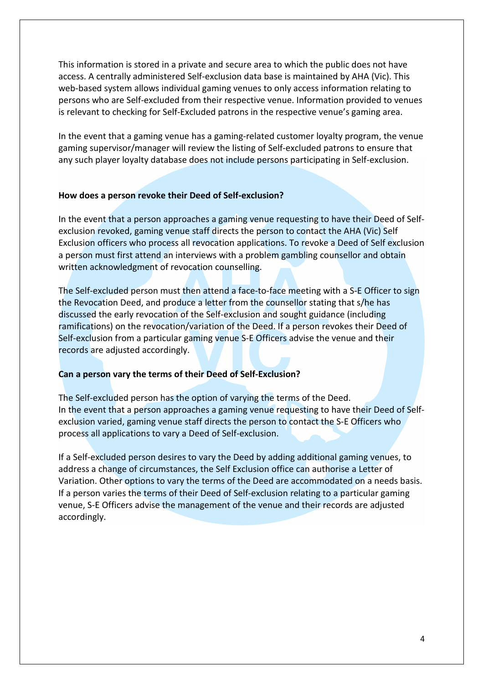This information is stored in a private and secure area to which the public does not have access. A centrally administered Self-exclusion data base is maintained by AHA (Vic). This web-based system allows individual gaming venues to only access information relating to persons who are Self-excluded from their respective venue. Information provided to venues is relevant to checking for Self-Excluded patrons in the respective venue's gaming area.

In the event that a gaming venue has a gaming-related customer loyalty program, the venue gaming supervisor/manager will review the listing of Self-excluded patrons to ensure that any such player loyalty database does not include persons participating in Self-exclusion.

#### How does a person revoke their Deed of Self-exclusion?

In the event that a person approaches a gaming venue requesting to have their Deed of Selfexclusion revoked, gaming venue staff directs the person to contact the AHA (Vic) Self Exclusion officers who process all revocation applications. To revoke a Deed of Self exclusion a person must first attend an interviews with a problem gambling counsellor and obtain written acknowledgment of revocation counselling.

The Self-excluded person must then attend a face-to-face meeting with a S-E Officer to sign the Revocation Deed, and produce a letter from the counsellor stating that s/he has discussed the early revocation of the Self-exclusion and sought guidance (including ramifications) on the revocation/variation of the Deed. If a person revokes their Deed of Self-exclusion from a particular gaming venue S-E Officers advise the venue and their records are adjusted accordingly.

## Can a person vary the terms of their Deed of Self-Exclusion?

The Self-excluded person has the option of varying the terms of the Deed. In the event that a person approaches a gaming venue requesting to have their Deed of Selfexclusion varied, gaming venue staff directs the person to contact the S-E Officers who process all applications to vary a Deed of Self-exclusion.

If a Self-excluded person desires to vary the Deed by adding additional gaming venues, to address a change of circumstances, the Self Exclusion office can authorise a Letter of Variation. Other options to vary the terms of the Deed are accommodated on a needs basis. If a person varies the terms of their Deed of Self-exclusion relating to a particular gaming venue, S-E Officers advise the management of the venue and their records are adjusted accordingly.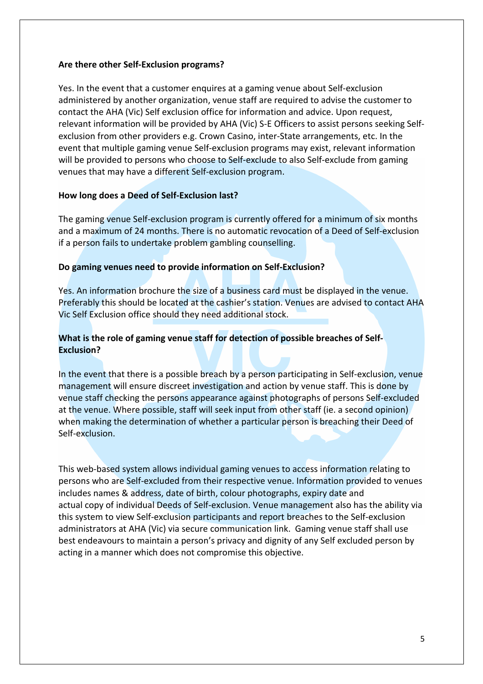### Are there other Self-Exclusion programs?

Yes. In the event that a customer enquires at a gaming venue about Self-exclusion administered by another organization, venue staff are required to advise the customer to contact the AHA (Vic) Self exclusion office for information and advice. Upon request, relevant information will be provided by AHA (Vic) S-E Officers to assist persons seeking Selfexclusion from other providers e.g. Crown Casino, inter-State arrangements, etc. In the event that multiple gaming venue Self-exclusion programs may exist, relevant information will be provided to persons who choose to Self-exclude to also Self-exclude from gaming venues that may have a different Self-exclusion program.

### How long does a Deed of Self-Exclusion last?

The gaming venue Self-exclusion program is currently offered for a minimum of six months and a maximum of 24 months. There is no automatic revocation of a Deed of Self-exclusion if a person fails to undertake problem gambling counselling.

### Do gaming venues need to provide information on Self-Exclusion?

Yes. An information brochure the size of a business card must be displayed in the venue. Preferably this should be located at the cashier's station. Venues are advised to contact AHA Vic Self Exclusion office should they need additional stock.

# What is the role of gaming venue staff for detection of possible breaches of Self-Exclusion?

In the event that there is a possible breach by a person participating in Self-exclusion, venue management will ensure discreet investigation and action by venue staff. This is done by venue staff checking the persons appearance against photographs of persons Self-excluded at the venue. Where possible, staff will seek input from other staff (ie. a second opinion) when making the determination of whether a particular person is breaching their Deed of Self-exclusion.

This web-based system allows individual gaming venues to access information relating to persons who are Self-excluded from their respective venue. Information provided to venues includes names & address, date of birth, colour photographs, expiry date and actual copy of individual Deeds of Self-exclusion. Venue management also has the ability via this system to view Self-exclusion participants and report breaches to the Self-exclusion administrators at AHA (Vic) via secure communication link. Gaming venue staff shall use best endeavours to maintain a person's privacy and dignity of any Self excluded person by acting in a manner which does not compromise this objective.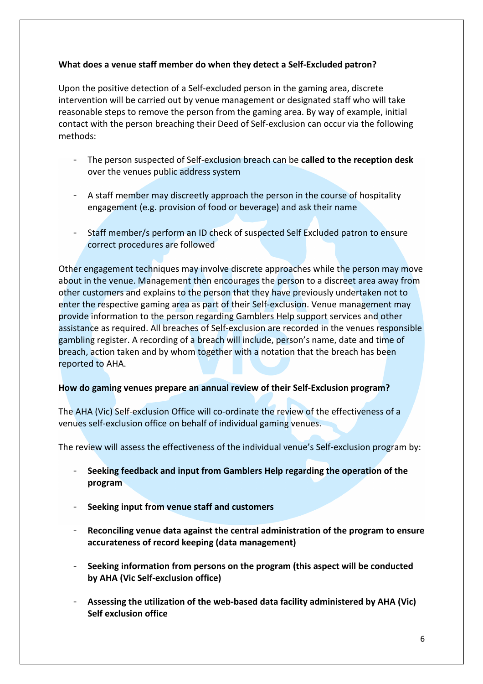## What does a venue staff member do when they detect a Self-Excluded patron?

Upon the positive detection of a Self-excluded person in the gaming area, discrete intervention will be carried out by venue management or designated staff who will take reasonable steps to remove the person from the gaming area. By way of example, initial contact with the person breaching their Deed of Self-exclusion can occur via the following methods:

- The person suspected of Self-exclusion breach can be called to the reception desk over the venues public address system
- A staff member may discreetly approach the person in the course of hospitality engagement (e.g. provision of food or beverage) and ask their name
- Staff member/s perform an ID check of suspected Self Excluded patron to ensure correct procedures are followed

Other engagement techniques may involve discrete approaches while the person may move about in the venue. Management then encourages the person to a discreet area away from other customers and explains to the person that they have previously undertaken not to enter the respective gaming area as part of their Self-exclusion. Venue management may provide information to the person regarding Gamblers Help support services and other assistance as required. All breaches of Self-exclusion are recorded in the venues responsible gambling register. A recording of a breach will include, person's name, date and time of breach, action taken and by whom together with a notation that the breach has been reported to AHA.

#### How do gaming venues prepare an annual review of their Self-Exclusion program?

The AHA (Vic) Self-exclusion Office will co-ordinate the review of the effectiveness of a venues self-exclusion office on behalf of individual gaming venues.

The review will assess the effectiveness of the individual venue's Self-exclusion program by:

- Seeking feedback and input from Gamblers Help regarding the operation of the program
- Seeking input from venue staff and customers
- Reconciling venue data against the central administration of the program to ensure accurateness of record keeping (data management)
- Seeking information from persons on the program (this aspect will be conducted by AHA (Vic Self-exclusion office)
- Assessing the utilization of the web-based data facility administered by AHA (Vic) Self exclusion office